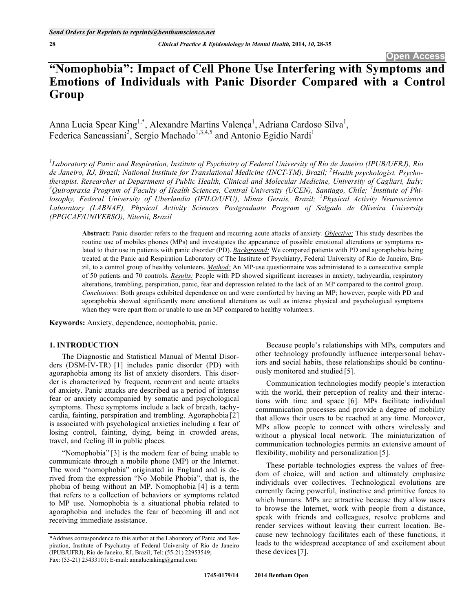# **"Nomophobia": Impact of Cell Phone Use Interfering with Symptoms and Emotions of Individuals with Panic Disorder Compared with a Control Group**

Anna Lucia Spear King<sup>1,\*</sup>, Alexandre Martins Valença<sup>1</sup>, Adriana Cardoso Silva<sup>1</sup>, Federica Sancassiani<sup>2</sup>, Sergio Machado<sup>1,3,4,5</sup> and Antonio Egidio Nardi<sup>1</sup>

*1 Laboratory of Panic and Respiration, Institute of Psychiatry of Federal University of Rio de Janeiro (IPUB/UFRJ), Rio de Janeiro, RJ, Brazil; National Institute for Translational Medicine (INCT-TM), Brazil; <sup>2</sup> Health psychologist. Psychotherapist. Researcher at Department of Public Health, Clinical and Molecular Medicine, University of Cagliari, Italy;*  <sup>3</sup>Quiropraxia Program of Faculty of Health Sciences, Central University (UCEN), Santiago, Chile; <sup>4</sup>Institute of Phi*losophy, Federal University of Uberlandia (IFILO/UFU), Minas Gerais, Brazil; <sup>5</sup> Physical Activity Neuroscience Laboratory (LABNAF), Physical Activity Sciences Postgraduate Program of Salgado de Oliveira University (PPGCAF/UNIVERSO), Niterói, Brazil* 

**Abstract:** Panic disorder refers to the frequent and recurring acute attacks of anxiety. *Objective:* This study describes the routine use of mobiles phones (MPs) and investigates the appearance of possible emotional alterations or symptoms related to their use in patients with panic disorder (PD). *Background:* We compared patients with PD and agoraphobia being treated at the Panic and Respiration Laboratory of The Institute of Psychiatry, Federal University of Rio de Janeiro, Brazil, to a control group of healthy volunteers. *Method:* An MP-use questionnaire was administered to a consecutive sample of 50 patients and 70 controls. *Results:* People with PD showed significant increases in anxiety, tachycardia, respiratory alterations, trembling, perspiration, panic, fear and depression related to the lack of an MP compared to the control group. *Conclusions:* Both groups exhibited dependence on and were comforted by having an MP; however, people with PD and agoraphobia showed significantly more emotional alterations as well as intense physical and psychological symptoms when they were apart from or unable to use an MP compared to healthy volunteers.

**Keywords:** Anxiety, dependence, nomophobia, panic.

#### **1. INTRODUCTION**

 The Diagnostic and Statistical Manual of Mental Disorders (DSM-IV-TR) [1] includes panic disorder (PD) with agoraphobia among its list of anxiety disorders. This disorder is characterized by frequent, recurrent and acute attacks of anxiety. Panic attacks are described as a period of intense fear or anxiety accompanied by somatic and psychological symptoms. These symptoms include a lack of breath, tachycardia, fainting, perspiration and trembling. Agoraphobia [2] is associated with psychological anxieties including a fear of losing control, fainting, dying, being in crowded areas, travel, and feeling ill in public places.

 "Nomophobia" [3] is the modern fear of being unable to communicate through a mobile phone (MP) or the Internet. The word "nomophobia" originated in England and is derived from the expression "No Mobile Phobia", that is, the phobia of being without an MP. Nomophobia [4] is a term that refers to a collection of behaviors or symptoms related to MP use. Nomophobia is a situational phobia related to agoraphobia and includes the fear of becoming ill and not receiving immediate assistance.

Because people's relationships with MPs, computers and other technology profoundly influence interpersonal behaviors and social habits, these relationships should be continuously monitored and studied [5].

Communication technologies modify people's interaction with the world, their perception of reality and their interactions with time and space [6]. MPs facilitate individual communication processes and provide a degree of mobility that allows their users to be reached at any time. Moreover, MPs allow people to connect with others wirelessly and without a physical local network. The miniaturization of communication technologies permits an extensive amount of flexibility, mobility and personalization [5].

These portable technologies express the values of freedom of choice, will and action and ultimately emphasize individuals over collectives. Technological evolutions are currently facing powerful, instinctive and primitive forces to which humans. MPs are attractive because they allow users to browse the Internet, work with people from a distance, speak with friends and colleagues, resolve problems and render services without leaving their current location. Because new technology facilitates each of these functions, it leads to the widespread acceptance of and excitement about these devices [7].

<sup>\*</sup>Address correspondence to this author at the Laboratory of Panic and Respiration, Institute of Psychiatry of Federal University of Rio de Janeiro (IPUB/UFRJ), Rio de Janeiro, RJ, Brazil; Tel: (55-21) 22953549; Fax: (55-21) 25433101; E-mail: annaluciaking@gmail.com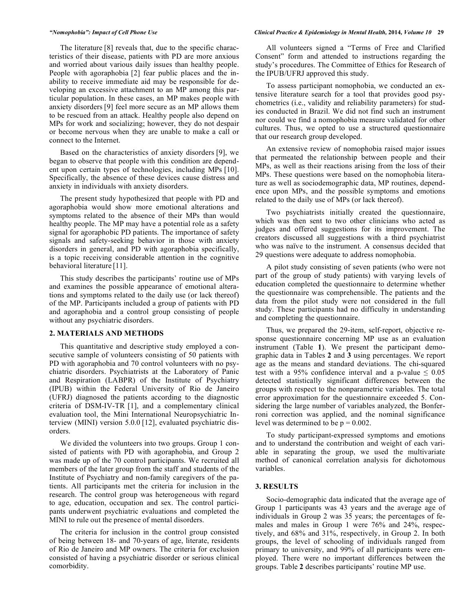The literature [8] reveals that, due to the specific characteristics of their disease, patients with PD are more anxious and worried about various daily issues than healthy people. People with agoraphobia [2] fear public places and the inability to receive immediate aid may be responsible for developing an excessive attachment to an MP among this particular population. In these cases, an MP makes people with anxiety disorders [9] feel more secure as an MP allows them to be rescued from an attack. Healthy people also depend on MPs for work and socializing; however, they do not despair or become nervous when they are unable to make a call or connect to the Internet.

Based on the characteristics of anxiety disorders [9], we began to observe that people with this condition are dependent upon certain types of technologies, including MPs [10]. Specifically, the absence of these devices cause distress and anxiety in individuals with anxiety disorders.

The present study hypothesized that people with PD and agoraphobia would show more emotional alterations and symptoms related to the absence of their MPs than would healthy people. The MP may have a potential role as a safety signal for agoraphobic PD patients. The importance of safety signals and safety-seeking behavior in those with anxiety disorders in general, and PD with agoraphobia specifically, is a topic receiving considerable attention in the cognitive behavioral literature [11].

This study describes the participants' routine use of MPs and examines the possible appearance of emotional alterations and symptoms related to the daily use (or lack thereof) of the MP. Participants included a group of patients with PD and agoraphobia and a control group consisting of people without any psychiatric disorders.

#### **2. MATERIALS AND METHODS**

This quantitative and descriptive study employed a consecutive sample of volunteers consisting of 50 patients with PD with agoraphobia and 70 control volunteers with no psychiatric disorders. Psychiatrists at the Laboratory of Panic and Respiration (LABPR) of the Institute of Psychiatry (IPUB) within the Federal University of Rio de Janeiro (UFRJ) diagnosed the patients according to the diagnostic criteria of DSM-IV-TR [1], and a complementary clinical evaluation tool, the Mini International Neuropsychiatric Interview (MINI) version 5.0.0 [12], evaluated psychiatric disorders.

We divided the volunteers into two groups. Group 1 consisted of patients with PD with agoraphobia, and Group 2 was made up of the 70 control participants. We recruited all members of the later group from the staff and students of the Institute of Psychiatry and non-family caregivers of the patients. All participants met the criteria for inclusion in the research. The control group was heterogeneous with regard to age, education, occupation and sex. The control participants underwent psychiatric evaluations and completed the MINI to rule out the presence of mental disorders.

The criteria for inclusion in the control group consisted of being between 18- and 70-years of age, literate, residents of Rio de Janeiro and MP owners. The criteria for exclusion consisted of having a psychiatric disorder or serious clinical comorbidity.

#### *"Nomophobia": Impact of Cell Phone Use Clinical Practice & Epidemiology in Mental Health,* **2014***, Volume 10* **29**

All volunteers signed a "Terms of Free and Clarified Consent" form and attended to instructions regarding the study's procedures. The Committee of Ethics for Research of the IPUB/UFRJ approved this study.

To assess participant nomophobia, we conducted an extensive literature search for a tool that provides good psychometrics (i.e., validity and reliability parameters) for studies conducted in Brazil. We did not find such an instrument nor could we find a nomophobia measure validated for other cultures. Thus, we opted to use a structured questionnaire that our research group developed.

An extensive review of nomophobia raised major issues that permeated the relationship between people and their MPs, as well as their reactions arising from the loss of their MPs. These questions were based on the nomophobia literature as well as sociodemographic data, MP routines, dependence upon MPs, and the possible symptoms and emotions related to the daily use of MPs (or lack thereof).

Two psychiatrists initially created the questionnaire, which was then sent to two other clinicians who acted as judges and offered suggestions for its improvement. The creators discussed all suggestions with a third psychiatrist who was naïve to the instrument. A consensus decided that 29 questions were adequate to address nomophobia.

A pilot study consisting of seven patients (who were not part of the group of study patients) with varying levels of education completed the questionnaire to determine whether the questionnaire was comprehensible. The patients and the data from the pilot study were not considered in the full study. These participants had no difficulty in understanding and completing the questionnaire.

Thus, we prepared the 29-item, self-report, objective response questionnaire concerning MP use as an evaluation instrument (Table **1**). We present the participant demographic data in Tables **2** and **3** using percentages. We report age as the means and standard deviations. The chi-squared test with a 95% confidence interval and a p-value  $\leq 0.05$ detected statistically significant differences between the groups with respect to the nonparametric variables. The total error approximation for the questionnaire exceeded 5. Considering the large number of variables analyzed, the Bonferroni correction was applied, and the nominal significance level was determined to be  $p = 0.002$ .

To study participant-expressed symptoms and emotions and to understand the contribution and weight of each variable in separating the group, we used the multivariate method of canonical correlation analysis for dichotomous variables.

#### **3. RESULTS**

Socio-demographic data indicated that the average age of Group 1 participants was 43 years and the average age of individuals in Group 2 was 35 years; the percentages of females and males in Group 1 were 76% and 24%, respectively, and 68% and 31%, respectively, in Group 2. In both groups, the level of schooling of individuals ranged from primary to university, and 99% of all participants were employed. There were no important differences between the groups. Table **2** describes participants' routine MP use.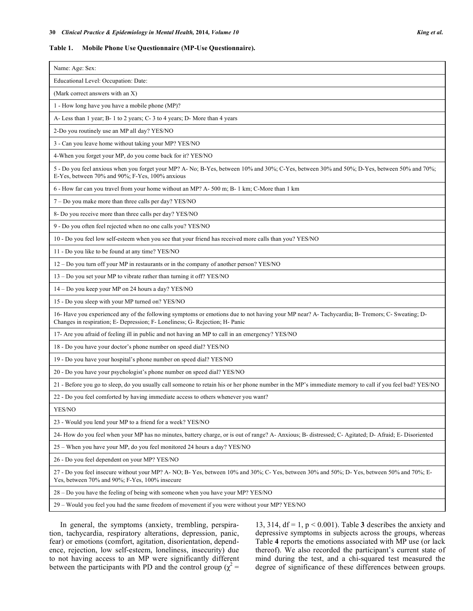#### **Table 1. Mobile Phone Use Questionnaire (MP-Use Questionnaire).**

| Name: Age: Sex:                                                                                                                                                                                                                |
|--------------------------------------------------------------------------------------------------------------------------------------------------------------------------------------------------------------------------------|
| Educational Level: Occupation: Date:                                                                                                                                                                                           |
| (Mark correct answers with an X)                                                                                                                                                                                               |
| 1 - How long have you have a mobile phone (MP)?                                                                                                                                                                                |
| A-Less than 1 year; B-1 to 2 years; C-3 to 4 years; D-More than 4 years                                                                                                                                                        |
| 2-Do you routinely use an MP all day? YES/NO                                                                                                                                                                                   |
| 3 - Can you leave home without taking your MP? YES/NO                                                                                                                                                                          |
| 4-When you forget your MP, do you come back for it? YES/NO                                                                                                                                                                     |
| 5 - Do you feel anxious when you forget your MP? A- No; B-Yes, between 10% and 30%; C-Yes, between 30% and 50%; D-Yes, between 50% and 70%;<br>E-Yes, between 70% and 90%; F-Yes, 100% anxious                                 |
| 6 - How far can you travel from your home without an MP? A-500 m; B-1 km; C-More than 1 km                                                                                                                                     |
| 7 - Do you make more than three calls per day? YES/NO                                                                                                                                                                          |
| 8- Do you receive more than three calls per day? YES/NO                                                                                                                                                                        |
| 9 - Do you often feel rejected when no one calls you? YES/NO                                                                                                                                                                   |
| 10 - Do you feel low self-esteem when you see that your friend has received more calls than you? YES/NO                                                                                                                        |
| 11 - Do you like to be found at any time? YES/NO                                                                                                                                                                               |
| 12 - Do you turn off your MP in restaurants or in the company of another person? YES/NO                                                                                                                                        |
| 13 - Do you set your MP to vibrate rather than turning it off? YES/NO                                                                                                                                                          |
| 14 - Do you keep your MP on 24 hours a day? YES/NO                                                                                                                                                                             |
| 15 - Do you sleep with your MP turned on? YES/NO                                                                                                                                                                               |
| 16- Have you experienced any of the following symptoms or emotions due to not having your MP near? A- Tachycardia; B- Tremors; C- Sweating; D-<br>Changes in respiration; E- Depression; F- Loneliness; G- Rejection; H- Panic |
| 17- Are you afraid of feeling ill in public and not having an MP to call in an emergency? YES/NO                                                                                                                               |
| 18 - Do you have your doctor's phone number on speed dial? YES/NO                                                                                                                                                              |
| 19 - Do you have your hospital's phone number on speed dial? YES/NO                                                                                                                                                            |
| 20 - Do you have your psychologist's phone number on speed dial? YES/NO                                                                                                                                                        |
| 21 - Before you go to sleep, do you usually call someone to retain his or her phone number in the MP's immediate memory to call if you feel bad? YES/NO                                                                        |
| 22 - Do you feel comforted by having immediate access to others whenever you want?                                                                                                                                             |
| YES/NO                                                                                                                                                                                                                         |
| 23 - Would you lend your MP to a friend for a week? YES/NO                                                                                                                                                                     |
| 24- How do you feel when your MP has no minutes, battery charge, or is out of range? A- Anxious; B- distressed; C- Agitated; D- Afraid; E- Disoriented                                                                         |
| 25 – When you have your MP, do you feel monitored 24 hours a day? YES/NO                                                                                                                                                       |
| 26 - Do you feel dependent on your MP? YES/NO                                                                                                                                                                                  |
| 27 - Do you feel insecure without your MP? A- NO; B-Yes, between 10% and 30%; C-Yes, between 30% and 50%; D-Yes, between 50% and 70%; E-<br>Yes, between 70% and 90%; F-Yes, 100% insecure                                     |
| 28 – Do you have the feeling of being with someone when you have your MP? YES/NO                                                                                                                                               |
| 29 – Would you feel you had the same freedom of movement if you were without your MP? YES/NO                                                                                                                                   |

In general, the symptoms (anxiety, trembling, perspiration, tachycardia, respiratory alterations, depression, panic, fear) or emotions (comfort, agitation, disorientation, dependence, rejection, low self-esteem, loneliness, insecurity) due to not having access to an MP were significantly different between the participants with PD and the control group ( $\chi^2$  = 13, 314,  $df = 1$ ,  $p < 0.001$ ). Table 3 describes the anxiety and depressive symptoms in subjects across the groups, whereas Table **4** reports the emotions associated with MP use (or lack thereof). We also recorded the participant's current state of mind during the test, and a chi-squared test measured the degree of significance of these differences between groups.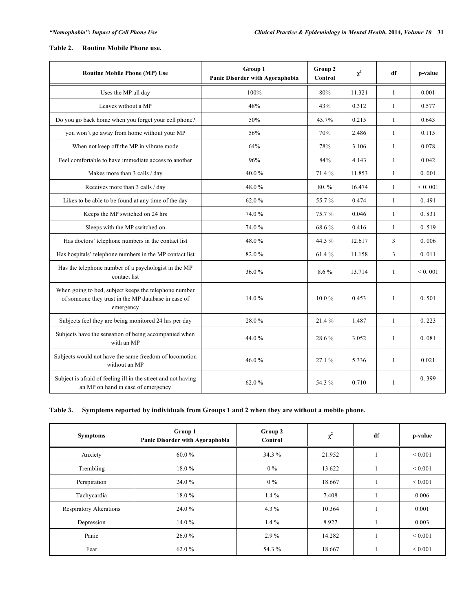# **Table 2. Routine Mobile Phone use.**

| <b>Routine Mobile Phone (MP) Use</b>                                                                                      | Group 1<br>Panic Disorder with Agoraphobia | Group 2<br>Control | $\chi^2$ | df           | p-value |
|---------------------------------------------------------------------------------------------------------------------------|--------------------------------------------|--------------------|----------|--------------|---------|
| Uses the MP all day                                                                                                       | 100%                                       | 80%                | 11.321   | $\mathbf{1}$ | 0.001   |
| Leaves without a MP                                                                                                       | 48%                                        | 43%                | 0.312    | $\mathbf{1}$ | 0.577   |
| Do you go back home when you forget your cell phone?                                                                      | 50%                                        | 45.7%              | 0.215    | $\mathbf{1}$ | 0.643   |
| you won't go away from home without your MP                                                                               | 56%                                        | 70%                | 2.486    | $\mathbf{1}$ | 0.115   |
| When not keep off the MP in vibrate mode                                                                                  | 64%                                        | 78%                | 3.106    | $\mathbf{1}$ | 0.078   |
| Feel comfortable to have immediate access to another                                                                      | 96%                                        | 84%                | 4.143    | $\mathbf{1}$ | 0.042   |
| Makes more than 3 calls / day                                                                                             | 40.0%                                      | 71.4 %             | 11.853   | $\mathbf{1}$ | 0.001   |
| Receives more than 3 calls / day                                                                                          | 48.0%                                      | $80. \%$           | 16.474   | $\mathbf{1}$ | < 0.001 |
| Likes to be able to be found at any time of the day                                                                       | 62.0%                                      | 55.7%              | 0.474    | $\mathbf{1}$ | 0.491   |
| Keeps the MP switched on 24 hrs                                                                                           | 74.0%                                      | 75.7%              | 0.046    | $\mathbf{1}$ | 0.831   |
| Sleeps with the MP switched on                                                                                            | 74.0%                                      | 68.6%              | 0.416    | $\mathbf{1}$ | 0.519   |
| Has doctors' telephone numbers in the contact list                                                                        | 48.0%                                      | 44.3 %             | 12.617   | 3            | 0.006   |
| Has hospitals' telephone numbers in the MP contact list                                                                   | 82.0%                                      | 61.4%              | 11.158   | 3            | 0.011   |
| Has the telephone number of a psychologist in the MP<br>contact list                                                      | 36.0%                                      | 8.6%               | 13.714   | $\mathbf{1}$ | < 0.001 |
| When going to bed, subject keeps the telephone number<br>of someone they trust in the MP database in case of<br>emergency | 14.0%                                      | $10.0\%$           | 0.453    | 1            | 0.501   |
| Subjects feel they are being monitored 24 hrs per day                                                                     | 28.0%                                      | 21.4%              | 1.487    | $\mathbf{1}$ | 0.223   |
| Subjects have the sensation of being accompanied when<br>with an MP                                                       | 44.0%                                      | 28.6%              | 3.052    | 1            | 0.081   |
| Subjects would not have the same freedom of locomotion<br>without an MP                                                   | 46.0%                                      | 27.1%              | 5.336    | $\mathbf{1}$ | 0.021   |
| Subject is afraid of feeling ill in the street and not having<br>an MP on hand in case of emergency                       | 62.0%                                      | 54.3 %             | 0.710    | $\mathbf{1}$ | 0.399   |

## **Table 3. Symptoms reported by individuals from Groups 1 and 2 when they are without a mobile phone.**

| <b>Symptoms</b>                | Group 1<br>Panic Disorder with Agoraphobia | Group 2<br>Control | $\chi^2$ | df | p-value      |
|--------------------------------|--------------------------------------------|--------------------|----------|----|--------------|
| Anxiety                        | 60.0%                                      | 34.3 %             | 21.952   |    | ${}< 0.001$  |
| Trembling                      | $18.0\%$                                   | $0\%$              | 13.622   |    | ${}_{0.001}$ |
| Perspiration                   | 24.0 %                                     | $0\%$              | 18.667   |    | ${}_{0.001}$ |
| Tachycardia                    | 18.0%                                      | $1.4\%$            | 7.408    |    | 0.006        |
| <b>Respiratory Alterations</b> | 24.0 %                                     | 4.3 $%$            | 10.364   |    | 0.001        |
| Depression                     | $14.0\%$                                   | $1.4\%$            | 8.927    |    | 0.003        |
| Panic                          | $26.0\%$                                   | $2.9\%$            | 14.282   |    | ${}_{0.001}$ |
| Fear                           | 62.0%                                      | 54.3 %             | 18.667   |    | ${}_{0.001}$ |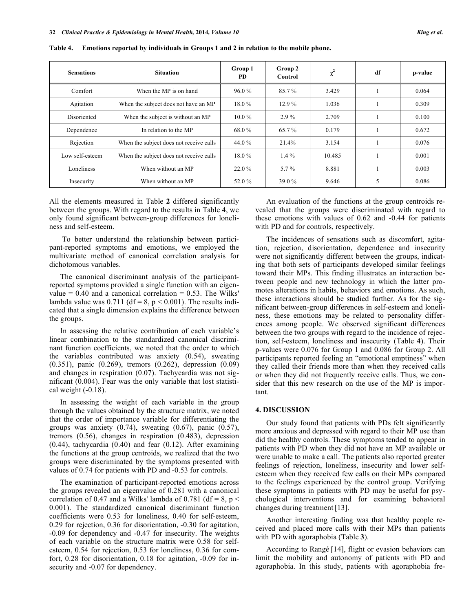| <b>Sensations</b> | <b>Situation</b>                        | Group 1<br>PD | Group 2<br>Control | $\chi^2$ | df | p-value |
|-------------------|-----------------------------------------|---------------|--------------------|----------|----|---------|
| Comfort           | When the MP is on hand                  | 96.0%         | 85.7%              | 3.429    |    | 0.064   |
| Agitation         | When the subject does not have an MP    | $18.0\%$      | $12.9\%$           | 1.036    |    | 0.309   |
| Disoriented       | When the subject is without an MP       | $10.0\%$      | $2.9\%$            | 2.709    |    | 0.100   |
| Dependence        | In relation to the MP                   | 68.0%         | 65.7%              | 0.179    |    | 0.672   |
| Rejection         | When the subject does not receive calls | 44.0 %        | 21.4%              | 3.154    |    | 0.076   |
| Low self-esteem   | When the subject does not receive calls | $18.0\%$      | $1.4\%$            | 10.485   |    | 0.001   |
| Loneliness        | When without an MP                      | 22.0 %        | $5.7\%$            | 8.881    |    | 0.003   |
| Insecurity        | When without an MP                      | 52.0%         | 39.0 %             | 9.646    | 5  | 0.086   |

**Table 4. Emotions reported by individuals in Groups 1 and 2 in relation to the mobile phone.** 

All the elements measured in Table **2** differed significantly between the groups. With regard to the results in Table **4**, we only found significant between-group differences for loneliness and self-esteem.

 To better understand the relationship between participant-reported symptoms and emotions, we employed the multivariate method of canonical correlation analysis for dichotomous variables.

The canonical discriminant analysis of the participantreported symptoms provided a single function with an eigenvalue  $= 0.40$  and a canonical correlation  $= 0.53$ . The Wilks' lambda value was  $0.711$  (df = 8, p < 0.001). The results indicated that a single dimension explains the difference between the groups.

In assessing the relative contribution of each variable's linear combination to the standardized canonical discriminant function coefficients, we noted that the order to which the variables contributed was anxiety (0.54), sweating (0.351), panic (0.269), tremors (0.262), depression (0.09) and changes in respiration (0.07). Tachycardia was not significant (0.004). Fear was the only variable that lost statistical weight (-0.18).

In assessing the weight of each variable in the group through the values obtained by the structure matrix, we noted that the order of importance variable for differentiating the groups was anxiety  $(0.74)$ , sweating  $(0.67)$ , panic  $(0.57)$ , tremors (0.56), changes in respiration (0.483), depression (0.44), tachycardia (0.40) and fear (0.12). After examining the functions at the group centroids, we realized that the two groups were discriminated by the symptoms presented with values of 0.74 for patients with PD and -0.53 for controls.

The examination of participant-reported emotions across the groups revealed an eigenvalue of 0.281 with a canonical correlation of 0.47 and a Wilks' lambda of 0.781 (df = 8, p < 0.001). The standardized canonical discriminant function coefficients were 0.53 for loneliness, 0.40 for self-esteem, 0.29 for rejection, 0.36 for disorientation, -0.30 for agitation, -0.09 for dependency and -0.47 for insecurity. The weights of each variable on the structure matrix were 0.58 for selfesteem, 0.54 for rejection, 0.53 for loneliness, 0.36 for comfort, 0.28 for disorientation, 0.18 for agitation, -0.09 for insecurity and -0.07 for dependency.

An evaluation of the functions at the group centroids revealed that the groups were discriminated with regard to these emotions with values of 0.62 and -0.44 for patients with PD and for controls, respectively.

The incidences of sensations such as discomfort, agitation, rejection, disorientation, dependence and insecurity were not significantly different between the groups, indicating that both sets of participants developed similar feelings toward their MPs. This finding illustrates an interaction between people and new technology in which the latter promotes alterations in habits, behaviors and emotions. As such, these interactions should be studied further. As for the significant between-group differences in self-esteem and loneliness, these emotions may be related to personality differences among people. We observed significant differences between the two groups with regard to the incidence of rejection, self-esteem, loneliness and insecurity (Table **4**). Their p-values were 0.076 for Group 1 and 0.086 for Group 2. All participants reported feeling an "emotional emptiness" when they called their friends more than when they received calls or when they did not frequently receive calls. Thus, we consider that this new research on the use of the MP is important.

#### **4. DISCUSSION**

Our study found that patients with PDs felt significantly more anxious and depressed with regard to their MP use than did the healthy controls. These symptoms tended to appear in patients with PD when they did not have an MP available or were unable to make a call. The patients also reported greater feelings of rejection, loneliness, insecurity and lower selfesteem when they received few calls on their MPs compared to the feelings experienced by the control group. Verifying these symptoms in patients with PD may be useful for psychological interventions and for examining behavioral changes during treatment[13].

Another interesting finding was that healthy people received and placed more calls with their MPs than patients with PD with agoraphobia (Table **3**).

According to Rangé [14], flight or evasion behaviors can limit the mobility and autonomy of patients with PD and agoraphobia. In this study, patients with agoraphobia fre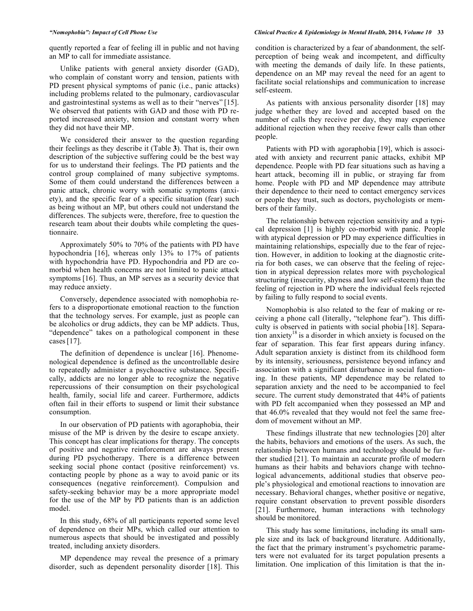quently reported a fear of feeling ill in public and not having an MP to call for immediate assistance.

Unlike patients with general anxiety disorder (GAD), who complain of constant worry and tension, patients with PD present physical symptoms of panic (i.e., panic attacks) including problems related to the pulmonary, cardiovascular and gastrointestinal systems as well as to their "nerves" [15]. We observed that patients with GAD and those with PD reported increased anxiety, tension and constant worry when they did not have their MP.

We considered their answer to the question regarding their feelings as they describe it (Table **3**). That is, their own description of the subjective suffering could be the best way for us to understand their feelings. The PD patients and the control group complained of many subjective symptoms. Some of them could understand the differences between a panic attack, chronic worry with somatic symptoms (anxiety), and the specific fear of a specific situation (fear) such as being without an MP, but others could not understand the differences. The subjects were, therefore, free to question the research team about their doubts while completing the questionnaire.

Approximately 50% to 70% of the patients with PD have hypochondria [16], whereas only 13% to 17% of patients with hypochondria have PD. Hypochondria and PD are comorbid when health concerns are not limited to panic attack symptoms [16]. Thus, an MP serves as a security device that may reduce anxiety.

Conversely, dependence associated with nomophobia refers to a disproportionate emotional reaction to the function that the technology serves. For example, just as people can be alcoholics or drug addicts, they can be MP addicts. Thus, "dependence" takes on a pathological component in these cases[17].

The definition of dependence is unclear [16]. Phenomenological dependence is defined as the uncontrollable desire to repeatedly administer a psychoactive substance. Specifically, addicts are no longer able to recognize the negative repercussions of their consumption on their psychological health, family, social life and career. Furthermore, addicts often fail in their efforts to suspend or limit their substance consumption.

In our observation of PD patients with agoraphobia, their misuse of the MP is driven by the desire to escape anxiety. This concept has clear implications for therapy. The concepts of positive and negative reinforcement are always present during PD psychotherapy. There is a difference between seeking social phone contact (positive reinforcement) vs. contacting people by phone as a way to avoid panic or its consequences (negative reinforcement). Compulsion and safety-seeking behavior may be a more appropriate model for the use of the MP by PD patients than is an addiction model.

In this study, 68% of all participants reported some level of dependence on their MPs, which called our attention to numerous aspects that should be investigated and possibly treated, including anxiety disorders.

MP dependence may reveal the presence of a primary disorder, such as dependent personality disorder [18]. This

#### *"Nomophobia": Impact of Cell Phone Use Clinical Practice & Epidemiology in Mental Health,* **2014***, Volume 10* **33**

condition is characterized by a fear of abandonment, the selfperception of being weak and incompetent, and difficulty with meeting the demands of daily life. In these patients, dependence on an MP may reveal the need for an agent to facilitate social relationships and communication to increase self-esteem.

As patients with anxious personality disorder [18] may judge whether they are loved and accepted based on the number of calls they receive per day, they may experience additional rejection when they receive fewer calls than other people.

Patients with PD with agoraphobia [19], which is associated with anxiety and recurrent panic attacks, exhibit MP dependence. People with PD fear situations such as having a heart attack, becoming ill in public, or straying far from home. People with PD and MP dependence may attribute their dependence to their need to contact emergency services or people they trust, such as doctors, psychologists or members of their family.

The relationship between rejection sensitivity and a typical depression [1] is highly co-morbid with panic. People with atypical depression or PD may experience difficulties in maintaining relationships, especially due to the fear of rejection. However, in addition to looking at the diagnostic criteria for both cases, we can observe that the feeling of rejection in atypical depression relates more with psychological structuring (insecurity, shyness and low self-esteem) than the feeling of rejection in PD where the individual feels rejected by failing to fully respond to social events.

Nomophobia is also related to the fear of making or receiving a phone call (literally, "telephone fear"). This difficulty is observed in patients with social phobia [18]. Separation anxiety<sup>18</sup> is a disorder in which anxiety is focused on the fear of separation. This fear first appears during infancy. Adult separation anxiety is distinct from its childhood form by its intensity, seriousness, persistence beyond infancy and association with a significant disturbance in social functioning. In these patients, MP dependence may be related to separation anxiety and the need to be accompanied to feel secure. The current study demonstrated that 44% of patients with PD felt accompanied when they possessed an MP and that 46.0% revealed that they would not feel the same freedom of movement without an MP.

These findings illustrate that new technologies [20] alter the habits, behaviors and emotions of the users. As such, the relationship between humans and technology should be further studied [21]. To maintain an accurate profile of modern humans as their habits and behaviors change with technological advancements, additional studies that observe people's physiological and emotional reactions to innovation are necessary. Behavioral changes, whether positive or negative, require constant observation to prevent possible disorders [21]. Furthermore, human interactions with technology should be monitored.

This study has some limitations, including its small sample size and its lack of background literature. Additionally, the fact that the primary instrument's psychometric parameters were not evaluated for its target population presents a limitation. One implication of this limitation is that the in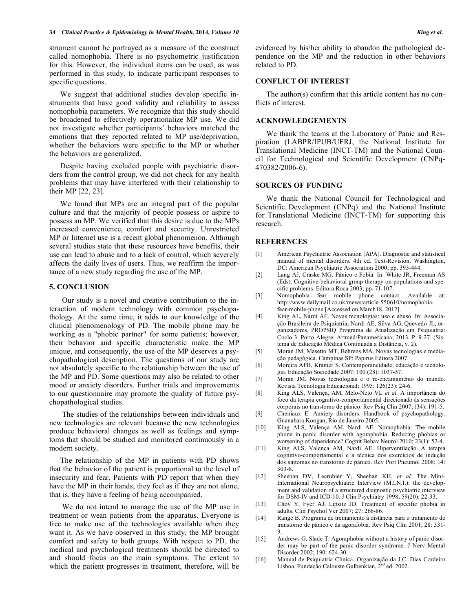strument cannot be portrayed as a measure of the construct called nomophobia. There is no psychometric justification for this. However, the individual items can be used, as was performed in this study, to indicate participant responses to specific questions.

We suggest that additional studies develop specific instruments that have good validity and reliability to assess nomophobia parameters. We recognize that this study should be broadened to effectively operationalize MP use. We did not investigate whether participants' behaviors matched the emotions that they reported related to MP use/deprivation, whether the behaviors were specific to the MP or whether the behaviors are generalized.

Despite having excluded people with psychiatric disorders from the control group, we did not check for any health problems that may have interfered with their relationship to their MP [22, 23].

We found that MPs are an integral part of the popular culture and that the majority of people possess or aspire to possess an MP. We verified that this desire is due to the MPs increased convenience, comfort and security. Unrestricted MP or Internet use is a recent global phenomenon. Although several studies state that these resources have benefits, their use can lead to abuse and to a lack of control, which severely affects the daily lives of users. Thus, we reaffirm the importance of a new study regarding the use of the MP.

#### **5. CONCLUSION**

 Our study is a novel and creative contribution to the interaction of modern technology with common psychopathology. At the same time, it adds to our knowledge of the clinical phenomenology of PD. The mobile phone may be working as a "phobic partner" for some patients; however, their behavior and specific characteristic make the MP unique, and consequently, the use of the MP deserves a psychopathological description. The questions of our study are not absolutely specific to the relationship between the use of the MP and PD. Some questions may also be related to other mood or anxiety disorders. Further trials and improvements to our questionnaire may promote the quality of future psychopathological studies.

 The studies of the relationships between individuals and new technologies are relevant because the new technologies produce behavioral changes as well as feelings and symptoms that should be studied and monitored continuously in a modern society.

The relationship of the MP in patients with PD shows that the behavior of the patient is proportional to the level of insecurity and fear. Patients with PD report that when they have the MP in their hands, they feel as if they are not alone, that is, they have a feeling of being accompanied.

 We do not intend to manage the use of the MP use in treatment or wean patients from the apparatus. Everyone is free to make use of the technologies available when they want it. As we have observed in this study, the MP brought comfort and safety to both groups. With respect to PD, the medical and psychological treatments should be directed to and should focus on the main symptoms. The extent to which the patient progresses in treatment, therefore, will be evidenced by his/her ability to abandon the pathological dependence on the MP and the reduction in other behaviors related to PD.

#### **CONFLICT OF INTEREST**

The author(s) confirm that this article content has no conflicts of interest.

#### **ACKNOWLEDGEMENTS**

We thank the teams at the Laboratory of Panic and Respiration (LABPR/IPUB/UFRJ, the National Institute for Translational Medicine (INCT-TM) and the National Council for Technological and Scientific Development (CNPq-470382/2006-6).

#### **SOURCES OF FUNDING**

We thank the National Council for Technological and Scientific Development (CNPq) and the National Institute for Translational Medicine (INCT-TM) for supporting this research.

### **REFERENCES**

- [1] American Psychiatric Association [APA]. Diagnostic and statistical manual of mental disorders. 4th ed. Text-Revision. Washington, DC: American Psychiatric Association 2000; pp. 393-444.
- [2] Lang AJ, Craske MG. Pânico e Fobia. In: White JR, Freeman AS (Eds). Cognitive-behavioral group therapy on populations and specific problems. Editora Roca 2003; pp. 71-107.
- [3] Nomophobia fear mobile phone contact. Available at: http://www.dailymail.co.uk/mews/article-550610/nomophobiafear-mobile-phone [Accessed on March18, 2012].
- [4] King AL, Nardi AE. Novas tecnologias: uso e abuso. In: Associação Brasileira de Psiquiatria; Nardi AE, Silva AG, Quevedo JL, organizadores. PROPSIQ Programa de Atualização em Psiquiatria: Coclo 3. Porto Alegre: Artmed/Panamericana; 2013. P. 9-27. (Sistema de Educação Médica Continuada a Distância, v. 2).
- [5] Moran JM, Masetto MT, Behrens MA. Novas tecnologias e mediação pedagógica. Campinas SP: Papirus Editora 2007.
- [6] Moreira AFB, Kramer S. Contemporaneidade, educação e tecnologia. Educação Sociedade 2007: 100 (28): 1037-57.
- [7] Moran JM. Novas tecnologias e o re-encantamento do mundo. Revista Tecnologia Educacional; 1995: 126(23): 24-6.
- [8] King ALS, Valença, AM, Melo-Neto VL *et al.* A importância do foco da terapia cognitivo-comportamental direcionado às sensações corporais no transtorno de pânico. Rev Psiq Clín 2007; (34): 191-5.
- [9] Cheniaux E. Anxiety disorders. Handbook of psychopathology. Guanabara Koogan, Rio de Janeiro 2005.
- [10] King ALS, Valença AM, Nardi AE. Nomophobia: The mobile phone in panic disorder with agoraphobia. Reducing phobias or worsening of dependence? Cognit Behav Neurol 2010; 23(1): 52-4.
- [11] King ALS, Valença AM, Nardi AE. Hiperventilação. A terapia cognitivo-comportamental e a técnica dos exercícios de indução dos sintomas no transtorno de pânico. Rev Port Pneumol 2008; 14: 303-8.
- [12] Sheehan DV, Lecrubier Y, Sheehan KH, *et al.* The Mini-International Neuropsychiatric Interview (M.I.N.I.): the development and validation of a structured diagnostic psychiatric interview for DSM-IV and ICD-10. J Clin Psychiatry 1998; 59(20): 22-33.
- [13] Choy Y, Fyer AJ, Lipsitz JD. Treatment of specific phobia in adults. Clin Psychol Ver 2007; 27: 266-86.
- [14] Rangé B. Programa de treinamento à distância para o tratamento do transtorno de pânico e da agorafobia. Rev Psiq Clín 2001; 28: 331- 9.
- [15] Andrews G, Slade T. Agoraphobia without a history of panic disorder may be part of the panic disorder syndrome. J Nerv Mental Disorder 2002; 190: 624-30.
- [16] Manual de Psiquiatria Clínica. Organização da J.C. Dias Cordeiro Lisboa. Fundação Calouste Gulbenkian,  $2<sup>nd</sup>$  ed. 2002.